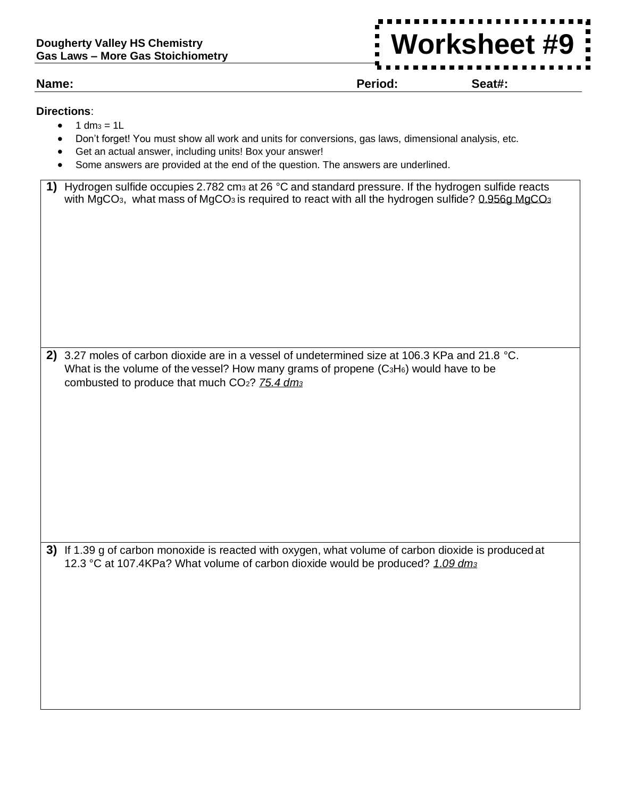## **Dougherty Valley HS Chemistry Gas Laws – More Gas Stoichiometry**

**Name: Period: Seat#:**

**Worksheet #9**

## **Directions**:

- $\bullet$  1 dm<sub>3</sub> = 1L
- Don't forget! You must show all work and units for conversions, gas laws, dimensional analysis, etc.
- Get an actual answer, including units! Box your answer!
- Some answers are provided at the end of the question. The answers are underlined.

| 1) Hydrogen sulfide occupies 2.782 cm <sub>3</sub> at 26 °C and standard pressure. If the hydrogen sulfide reacts                    |
|--------------------------------------------------------------------------------------------------------------------------------------|
| with MgCO <sub>3</sub> , what mass of MgCO <sub>3</sub> is required to react with all the hydrogen sulfide? 0.956g MgCO <sub>3</sub> |

**2)** 3.27 moles of carbon dioxide are in a vessel of undetermined size at 106.3 KPa and 21.8 °C. What is the volume of the vessel? How many grams of propene (C<sub>3</sub>H<sub>6</sub>) would have to be combusted to produce that much CO2? *75.4 dm<sup>3</sup>*

**3)** If 1.39 g of carbon monoxide is reacted with oxygen, what volume of carbon dioxide is produced at 12.3 °C at 107.4KPa? What volume of carbon dioxide would be produced? *1.09 dm<sup>3</sup>*